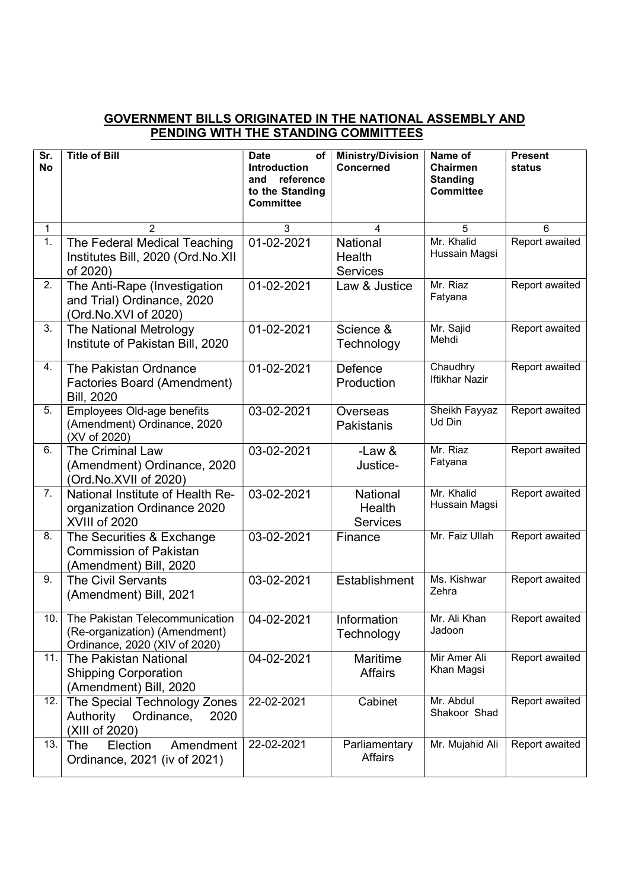## GOVERNMENT BILLS ORIGINATED IN THE NATIONAL ASSEMBLY AND PENDING WITH THE STANDING COMMITTEES

| Sr.<br><b>No</b> | <b>Title of Bill</b>                                                                             | <b>Date</b><br>οf<br><b>Introduction</b><br>reference<br>and<br>to the Standing<br><b>Committee</b> | <b>Ministry/Division</b><br>Concerned | Name of<br>Chairmen<br><b>Standing</b><br><b>Committee</b> | <b>Present</b><br>status |
|------------------|--------------------------------------------------------------------------------------------------|-----------------------------------------------------------------------------------------------------|---------------------------------------|------------------------------------------------------------|--------------------------|
| $\mathbf{1}$     | $\overline{2}$                                                                                   | 3                                                                                                   | 4                                     | 5                                                          | 6                        |
| $\overline{1}$ . | The Federal Medical Teaching<br>Institutes Bill, 2020 (Ord.No.XII<br>of 2020)                    | 01-02-2021                                                                                          | National<br>Health<br><b>Services</b> | Mr. Khalid<br>Hussain Magsi                                | Report awaited           |
| 2.               | The Anti-Rape (Investigation<br>and Trial) Ordinance, 2020<br>(Ord.No.XVI of 2020)               | 01-02-2021                                                                                          | Law & Justice                         | Mr. Riaz<br>Fatyana                                        | Report awaited           |
| 3.               | The National Metrology<br>Institute of Pakistan Bill, 2020                                       | 01-02-2021                                                                                          | Science &<br>Technology               | Mr. Sajid<br>Mehdi                                         | Report awaited           |
| 4.               | The Pakistan Ordnance<br><b>Factories Board (Amendment)</b><br><b>Bill, 2020</b>                 | 01-02-2021                                                                                          | Defence<br>Production                 | Chaudhry<br><b>Iftikhar Nazir</b>                          | Report awaited           |
| 5.               | Employees Old-age benefits<br>(Amendment) Ordinance, 2020<br>(XV of 2020)                        | 03-02-2021                                                                                          | Overseas<br>Pakistanis                | Sheikh Fayyaz<br>Ud Din                                    | Report awaited           |
| 6.               | <b>The Criminal Law</b><br>(Amendment) Ordinance, 2020<br>(Ord.No.XVII of 2020)                  | 03-02-2021                                                                                          | $-Law &$<br>Justice-                  | Mr. Riaz<br>Fatyana                                        | Report awaited           |
| 7.               | National Institute of Health Re-<br>organization Ordinance 2020<br>XVIII of 2020                 | 03-02-2021                                                                                          | National<br>Health<br><b>Services</b> | Mr. Khalid<br>Hussain Magsi                                | Report awaited           |
| 8.               | The Securities & Exchange<br><b>Commission of Pakistan</b><br>(Amendment) Bill, 2020             | 03-02-2021                                                                                          | Finance                               | Mr. Faiz Ullah                                             | Report awaited           |
| 9.               | <b>The Civil Servants</b><br>(Amendment) Bill, 2021                                              | 03-02-2021                                                                                          | Establishment                         | Ms. Kishwar<br>Zehra                                       | Report awaited           |
| 10.              | The Pakistan Telecommunication<br>(Re-organization) (Amendment)<br>Ordinance, 2020 (XIV of 2020) | 04-02-2021                                                                                          | Information<br>Technology             | Mr. Ali Khan<br>Jadoon                                     | Report awaited           |
| 11.              | <b>The Pakistan National</b><br><b>Shipping Corporation</b><br>(Amendment) Bill, 2020            | 04-02-2021                                                                                          | Maritime<br><b>Affairs</b>            | Mir Amer Ali<br>Khan Magsi                                 | Report awaited           |
| 12.              | The Special Technology Zones<br>Authority Ordinance,<br>2020<br>(XIII of 2020)                   | 22-02-2021                                                                                          | Cabinet                               | Mr. Abdul<br>Shakoor Shad                                  | Report awaited           |
| 13.              | Election<br>The<br>Amendment<br>Ordinance, 2021 (iv of 2021)                                     | 22-02-2021                                                                                          | Parliamentary<br>Affairs              | Mr. Mujahid Ali                                            | Report awaited           |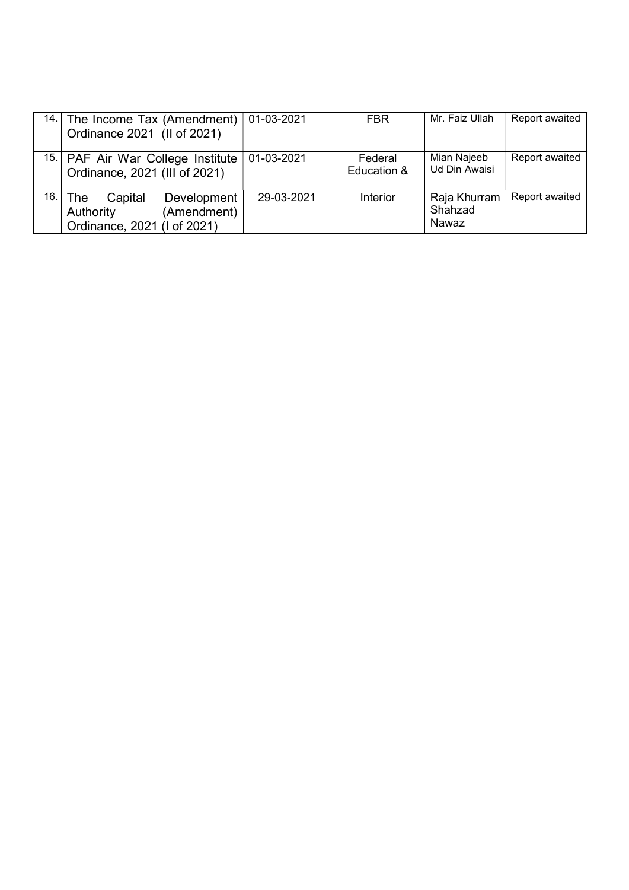| 14.   | The Income Tax (Amendment)<br>Ordinance 2021 (II of 2021)                                | 01-03-2021 | FBR.                   | Mr. Faiz Ullah                   | Report awaited |
|-------|------------------------------------------------------------------------------------------|------------|------------------------|----------------------------------|----------------|
|       | 15. PAF Air War College Institute<br>Ordinance, 2021 (III of 2021)                       | 01-03-2021 | Federal<br>Education & | Mian Najeeb<br>Ud Din Awaisi     | Report awaited |
| 16. l | Development<br>Capital<br>The<br>(Amendment)<br>Authority<br>Ordinance, 2021 (I of 2021) | 29-03-2021 | <b>Interior</b>        | Raja Khurram<br>Shahzad<br>Nawaz | Report awaited |